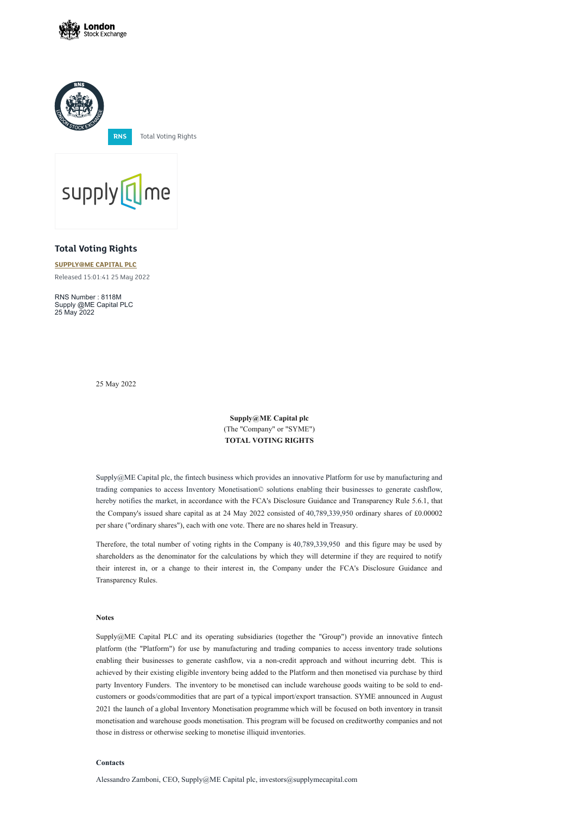





## **Total Voting Rights**

## **[SUPPLY@ME](https://www.londonstockexchange.com/stock/SYME/supply-me-capital-plc) CAPITAL PLC**

Released 15:01:41 25 May 2022

RNS Number : 8118M Supply @ME Capital PLC 25 May 2022

25 May 2022

**Supply@ME Capital plc** (The "Company" or "SYME") **TOTAL VOTING RIGHTS**

Supply@ME Capital plc, the fintech business which provides an innovative Platform for use by manufacturing and trading companies to access Inventory Monetisation© solutions enabling their businesses to generate cashflow, hereby notifies the market, in accordance with the FCA's Disclosure Guidance and Transparency Rule 5.6.1, that the Company's issued share capital as at 24 May 2022 consisted of 40,789,339,950 ordinary shares of £0.00002 per share ("ordinary shares"), each with one vote. There are no shares held in Treasury.

Therefore, the total number of voting rights in the Company is 40,789,339,950 and this figure may be used by shareholders as the denominator for the calculations by which they will determine if they are required to notify their interest in, or a change to their interest in, the Company under the FCA's Disclosure Guidance and Transparency Rules.

**Notes**

Supply@ME Capital PLC and its operating subsidiaries (together the "Group") provide an innovative fintech platform (the "Platform") for use by manufacturing and trading companies to access inventory trade solutions enabling their businesses to generate cashflow, via a non-credit approach and without incurring debt. This is achieved by their existing eligible inventory being added to the Platform and then monetised via purchase by third party Inventory Funders. The inventory to be monetised can include warehouse goods waiting to be sold to endcustomers or goods/commodities that are part of a typical import/export transaction. SYME announced in August 2021 the launch of a global Inventory Monetisation programme which will be focused on both inventory in transit monetisation and warehouse goods monetisation. This program will be focused on creditworthy companies and not those in distress or otherwise seeking to monetise illiquid inventories.

## **Contacts**

Alessandro Zamboni, CEO, Supply@ME Capital plc, investors@supplymecapital.com